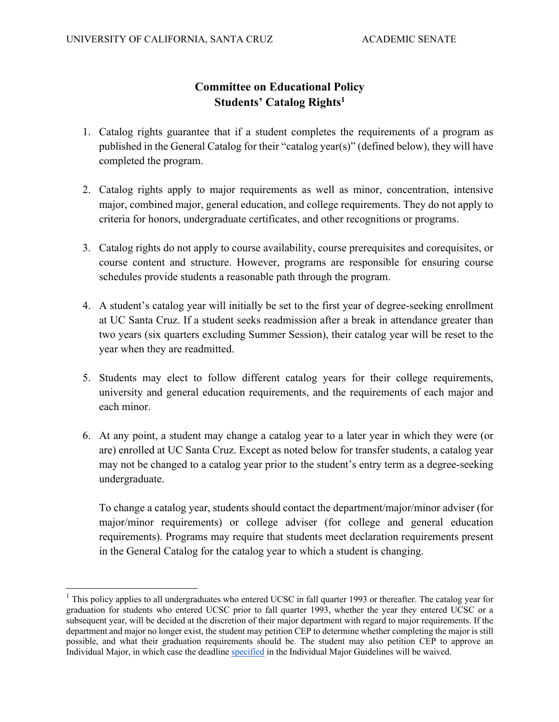## **Committee on Educational Policy Students' Catalog Rights1**

- 1. Catalog rights guarantee that if a student completes the requirements of a program as published in the General Catalog for their "catalog year(s)" (defined below), they will have completed the program.
- 2. Catalog rights apply to major requirements as well as minor, concentration, intensive major, combined major, general education, and college requirements. They do not apply to criteria for honors, undergraduate certificates, and other recognitions or programs.
- 3. Catalog rights do not apply to course availability, course prerequisites and corequisites, or course content and structure. However, programs are responsible for ensuring course schedules provide students a reasonable path through the program.
- 4. A student's catalog year will initially be set to the first year of degree-seeking enrollment at UC Santa Cruz. If a student seeks readmission after a break in attendance greater than two years (six quarters excluding Summer Session), their catalog year will be reset to the year when they are readmitted.
- 5. Students may elect to follow different catalog years for their college requirements, university and general education requirements, and the requirements of each major and each minor.
- 6. At any point, a student may change a catalog year to a later year in which they were (or are) enrolled at UC Santa Cruz. Except as noted below for transfer students, a catalog year may not be changed to a catalog year prior to the student's entry term as a degree-seeking undergraduate.

To change a catalog year, students should contact the department/major/minor adviser (for major/minor requirements) or college adviser (for college and general education requirements). Programs may require that students meet declaration requirements present in the General Catalog for the catalog year to which a student is changing.

 $1$  This policy applies to all undergraduates who entered UCSC in fall quarter 1993 or thereafter. The catalog year for graduation for students who entered UCSC prior to fall quarter 1993, whether the year they entered UCSC or a subsequent year, will be decided at the discretion of their major department with regard to major requirements. If the department and major no longer exist, the student may petition CEP to determine whether completing the major is still possible, and what their graduation requirements should be. The student may also petition CEP to approve an Individual Major, in which case the deadline [specified](https://senate.ucsc.edu/committees/cep-committee-on-educational-policy/policies-guidelines/cep-individual-major-guidelines-100919.pdf) in the Individual Major Guidelines will be waived.